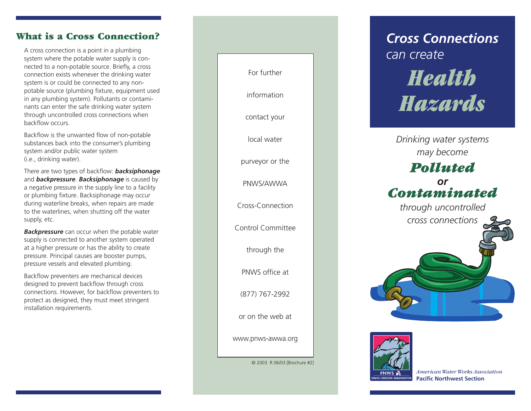### **What is a Cross Connection?**

A cross connection is a point in a plumbing system where the potable water supply is connected to a non-potable source. Briefly, a cross connection exists whenever the drinking water system is or could be connected to any nonpotable source (plumbing fixture, equipment used in any plumbing system). Pollutants or contaminants can enter the safe drinking water system through uncontrolled cross connections when backflow occurs.

Backflow is the unwanted flow of non-potable substances back into the consumer's plumbing system and/or public water system (i.e., drinking water).

There are two types of backflow: *backsiphonage* and *backpressure*. *Backsiphonage* is caused by a negative pressure in the supply line to a facility or plumbing fixture. Backsiphonage may occur during waterline breaks, when repairs are made to the waterlines, when shutting off the water supply, etc.

*Backpressure* can occur when the potable water supply is connected to another system operated at a higher pressure or has the ability to create pressure. Principal causes are booster pumps, pressure vessels and elevated plumbing.

Backflow preventers are mechanical devices designed to prevent backflow through cross connections. However, for backflow preventers to protect as designed, they must meet stringent installation requirements.



*Cross Connections can create Health Hazards*

*Drinking water systems may become*

# *Polluted or Contaminated*

*through uncontrolled cross connections*



*American Water Works Association* **Pacific Northwest Section**